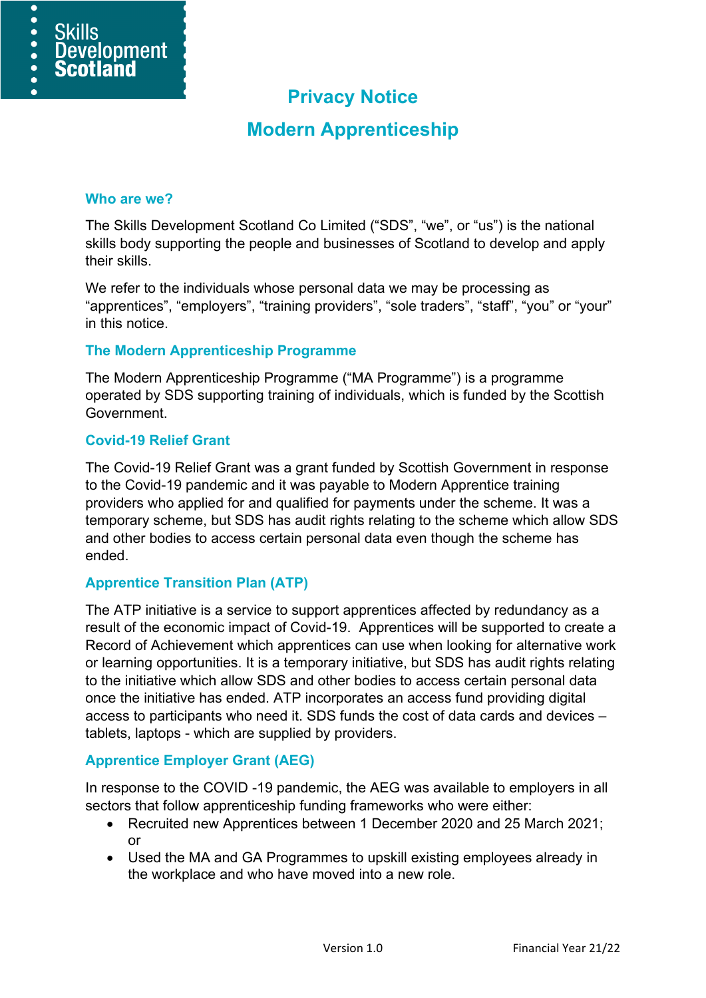

# **Modern Apprenticeship**

#### **Who are we?**

 $\overline{\bullet}$  $\bullet$ 

 $\bullet$ 

**Skills** 

**Development** 

**Scotland** 

The Skills Development Scotland Co Limited ("SDS", "we", or "us") is the national skills body supporting the people and businesses of Scotland to develop and apply their skills.

We refer to the individuals whose personal data we may be processing as "apprentices", "employers", "training providers", "sole traders", "staff", "you" or "your" in this notice.

#### **The Modern Apprenticeship Programme**

The Modern Apprenticeship Programme ("MA Programme") is a programme operated by SDS supporting training of individuals, which is funded by the Scottish Government.

#### **Covid-19 Relief Grant**

The Covid-19 Relief Grant was a grant funded by Scottish Government in response to the Covid-19 pandemic and it was payable to Modern Apprentice training providers who applied for and qualified for payments under the scheme. It was a temporary scheme, but SDS has audit rights relating to the scheme which allow SDS and other bodies to access certain personal data even though the scheme has ended.

### **Apprentice Transition Plan (ATP)**

The ATP initiative is a service to support apprentices affected by redundancy as a result of the economic impact of Covid-19. Apprentices will be supported to create a Record of Achievement which apprentices can use when looking for alternative work or learning opportunities. It is a temporary initiative, but SDS has audit rights relating to the initiative which allow SDS and other bodies to access certain personal data once the initiative has ended. ATP incorporates an access fund providing digital access to participants who need it. SDS funds the cost of data cards and devices – tablets, laptops - which are supplied by providers.

### **Apprentice Employer Grant (AEG)**

In response to the COVID -19 pandemic, the AEG was available to employers in all sectors that follow apprenticeship funding frameworks who were either:

- Recruited new Apprentices between 1 December 2020 and 25 March 2021; or
- Used the MA and GA Programmes to upskill existing employees already in the workplace and who have moved into a new role.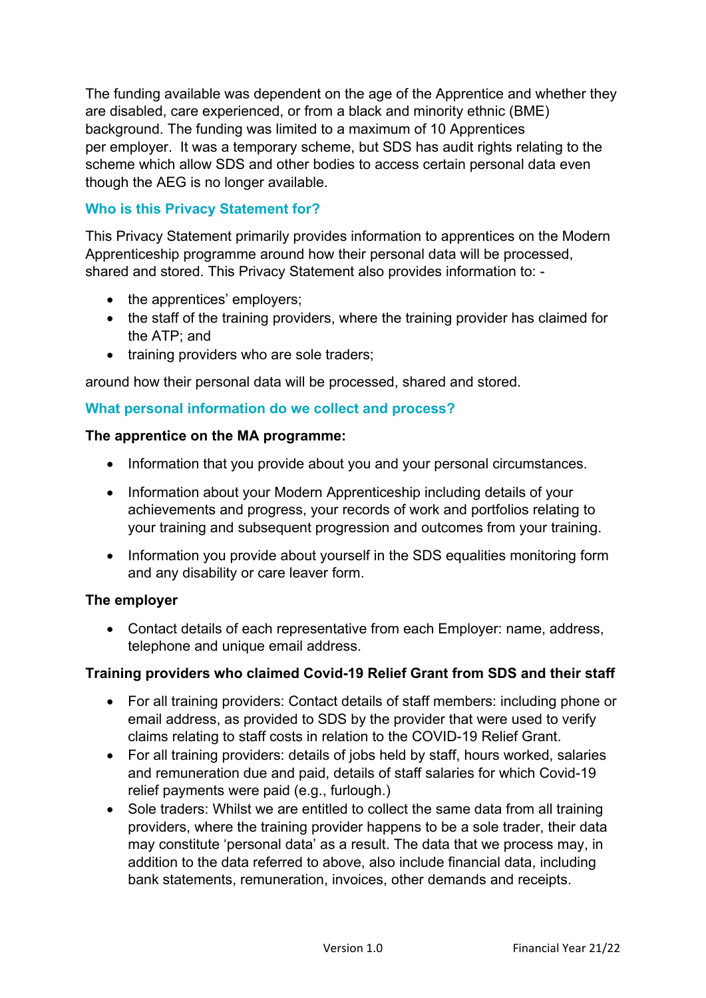The funding available was dependent on the age of the Apprentice and whether they are disabled, care experienced, or from a black and minority ethnic (BME) background. The funding was limited to a maximum of 10 Apprentices per employer. It was a temporary scheme, but SDS has audit rights relating to the scheme which allow SDS and other bodies to access certain personal data even though the AEG is no longer available.

# **Who is this Privacy Statement for?**

This Privacy Statement primarily provides information to apprentices on the Modern Apprenticeship programme around how their personal data will be processed, shared and stored. This Privacy Statement also provides information to: -

- the apprentices' employers;
- the staff of the training providers, where the training provider has claimed for the ATP; and
- training providers who are sole traders;

around how their personal data will be processed, shared and stored.

### **What personal information do we collect and process?**

### **The apprentice on the MA programme:**

- Information that you provide about you and your personal circumstances.
- Information about your Modern Apprenticeship including details of your achievements and progress, your records of work and portfolios relating to your training and subsequent progression and outcomes from your training.
- Information you provide about yourself in the SDS equalities monitoring form and any disability or care leaver form.

### **The employer**

• Contact details of each representative from each Employer: name, address, telephone and unique email address.

### **Training providers who claimed Covid-19 Relief Grant from SDS and their staff**

- For all training providers: Contact details of staff members: including phone or email address, as provided to SDS by the provider that were used to verify claims relating to staff costs in relation to the COVID-19 Relief Grant.
- For all training providers: details of jobs held by staff, hours worked, salaries and remuneration due and paid, details of staff salaries for which Covid-19 relief payments were paid (e.g., furlough.)
- Sole traders: Whilst we are entitled to collect the same data from all training providers, where the training provider happens to be a sole trader, their data may constitute 'personal data' as a result. The data that we process may, in addition to the data referred to above, also include financial data, including bank statements, remuneration, invoices, other demands and receipts.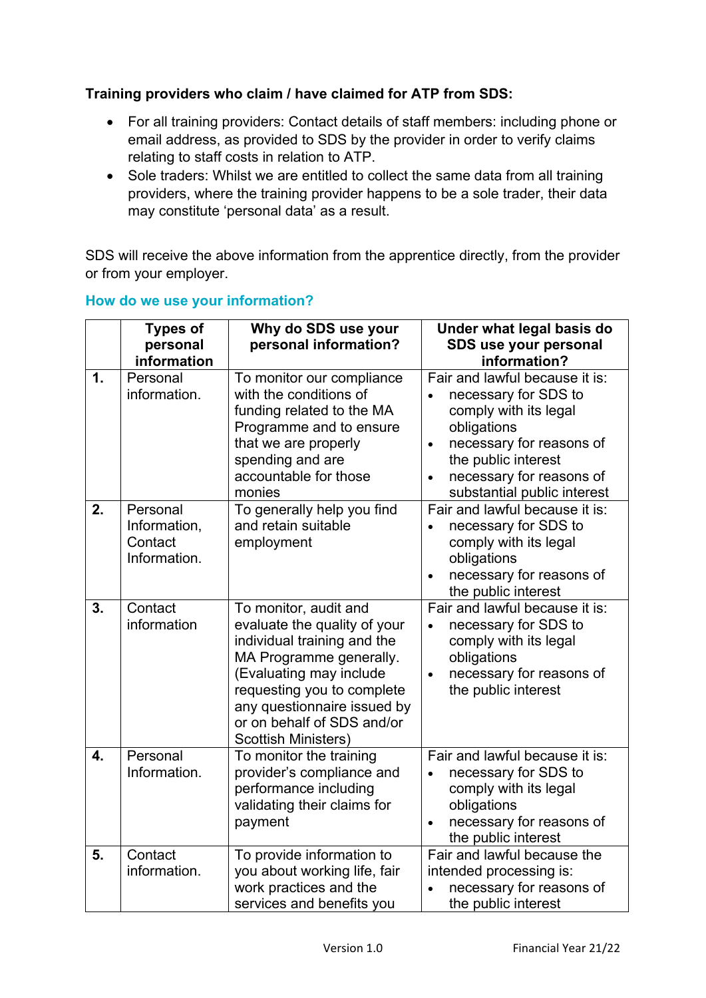# **Training providers who claim / have claimed for ATP from SDS:**

- For all training providers: Contact details of staff members: including phone or email address, as provided to SDS by the provider in order to verify claims relating to staff costs in relation to ATP.
- Sole traders: Whilst we are entitled to collect the same data from all training providers, where the training provider happens to be a sole trader, their data may constitute 'personal data' as a result.

SDS will receive the above information from the apprentice directly, from the provider or from your employer.

|               | <b>Types of</b><br>personal<br>information          | Why do SDS use your<br>personal information?                                                                                                                                                                                                                        | Under what legal basis do<br>SDS use your personal<br>information?                                                                                                                                                                                  |
|---------------|-----------------------------------------------------|---------------------------------------------------------------------------------------------------------------------------------------------------------------------------------------------------------------------------------------------------------------------|-----------------------------------------------------------------------------------------------------------------------------------------------------------------------------------------------------------------------------------------------------|
| $\mathbf 1$ . | Personal<br>information.                            | To monitor our compliance<br>with the conditions of<br>funding related to the MA<br>Programme and to ensure<br>that we are properly<br>spending and are<br>accountable for those<br>monies                                                                          | Fair and lawful because it is:<br>necessary for SDS to<br>$\bullet$<br>comply with its legal<br>obligations<br>necessary for reasons of<br>$\bullet$<br>the public interest<br>necessary for reasons of<br>$\bullet$<br>substantial public interest |
| 2.            | Personal<br>Information,<br>Contact<br>Information. | To generally help you find<br>and retain suitable<br>employment                                                                                                                                                                                                     | Fair and lawful because it is:<br>necessary for SDS to<br>$\bullet$<br>comply with its legal<br>obligations<br>necessary for reasons of<br>$\bullet$<br>the public interest                                                                         |
| 3.            | Contact<br>information                              | To monitor, audit and<br>evaluate the quality of your<br>individual training and the<br>MA Programme generally.<br>(Evaluating may include<br>requesting you to complete<br>any questionnaire issued by<br>or on behalf of SDS and/or<br><b>Scottish Ministers)</b> | Fair and lawful because it is:<br>necessary for SDS to<br>$\bullet$<br>comply with its legal<br>obligations<br>necessary for reasons of<br>$\bullet$<br>the public interest                                                                         |
| 4.            | Personal<br>Information.                            | To monitor the training<br>provider's compliance and<br>performance including<br>validating their claims for<br>payment                                                                                                                                             | Fair and lawful because it is:<br>necessary for SDS to<br>comply with its legal<br>obligations<br>necessary for reasons of<br>the public interest                                                                                                   |
| 5.            | Contact<br>information.                             | To provide information to<br>you about working life, fair<br>work practices and the<br>services and benefits you                                                                                                                                                    | Fair and lawful because the<br>intended processing is:<br>necessary for reasons of<br>$\bullet$<br>the public interest                                                                                                                              |

### **How do we use your information?**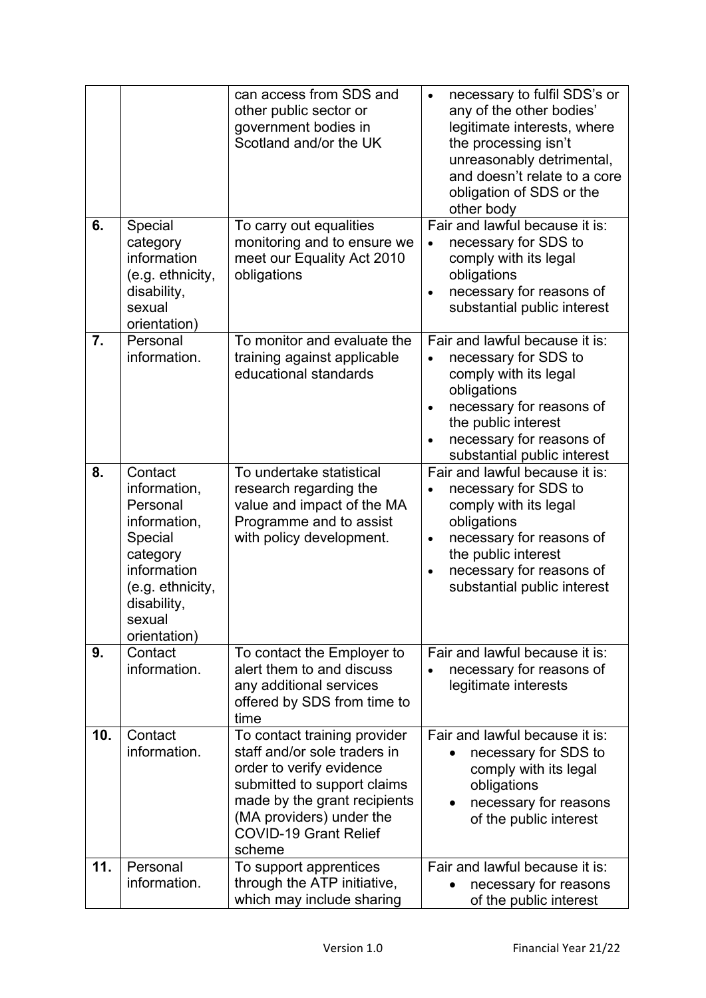|     |                                                                                                                                                        | can access from SDS and<br>other public sector or<br>government bodies in<br>Scotland and/or the UK                                                                                                                           | necessary to fulfil SDS's or<br>$\bullet$<br>any of the other bodies'<br>legitimate interests, where<br>the processing isn't<br>unreasonably detrimental,<br>and doesn't relate to a core<br>obligation of SDS or the<br>other body    |
|-----|--------------------------------------------------------------------------------------------------------------------------------------------------------|-------------------------------------------------------------------------------------------------------------------------------------------------------------------------------------------------------------------------------|----------------------------------------------------------------------------------------------------------------------------------------------------------------------------------------------------------------------------------------|
| 6.  | Special<br>category<br>information<br>(e.g. ethnicity,<br>disability,<br>sexual<br>orientation)                                                        | To carry out equalities<br>monitoring and to ensure we<br>meet our Equality Act 2010<br>obligations                                                                                                                           | Fair and lawful because it is:<br>necessary for SDS to<br>$\bullet$<br>comply with its legal<br>obligations<br>necessary for reasons of<br>$\bullet$<br>substantial public interest                                                    |
| 7.  | Personal<br>information.                                                                                                                               | To monitor and evaluate the<br>training against applicable<br>educational standards                                                                                                                                           | Fair and lawful because it is:<br>necessary for SDS to<br>$\bullet$<br>comply with its legal<br>obligations<br>necessary for reasons of<br>$\bullet$<br>the public interest<br>necessary for reasons of<br>substantial public interest |
| 8.  | Contact<br>information,<br>Personal<br>information,<br>Special<br>category<br>information<br>(e.g. ethnicity,<br>disability,<br>sexual<br>orientation) | To undertake statistical<br>research regarding the<br>value and impact of the MA<br>Programme and to assist<br>with policy development.                                                                                       | Fair and lawful because it is:<br>necessary for SDS to<br>comply with its legal<br>obligations<br>necessary for reasons of<br>$\bullet$<br>the public interest<br>necessary for reasons of<br>$\bullet$<br>substantial public interest |
| 9.  | Contact<br>information.                                                                                                                                | To contact the Employer to<br>alert them to and discuss<br>any additional services<br>offered by SDS from time to<br>time                                                                                                     | Fair and lawful because it is:<br>necessary for reasons of<br>legitimate interests                                                                                                                                                     |
| 10. | Contact<br>information.                                                                                                                                | To contact training provider<br>staff and/or sole traders in<br>order to verify evidence<br>submitted to support claims<br>made by the grant recipients<br>(MA providers) under the<br><b>COVID-19 Grant Relief</b><br>scheme | Fair and lawful because it is:<br>necessary for SDS to<br>comply with its legal<br>obligations<br>necessary for reasons<br>of the public interest                                                                                      |
| 11. | Personal<br>information.                                                                                                                               | To support apprentices<br>through the ATP initiative,<br>which may include sharing                                                                                                                                            | Fair and lawful because it is:<br>necessary for reasons<br>of the public interest                                                                                                                                                      |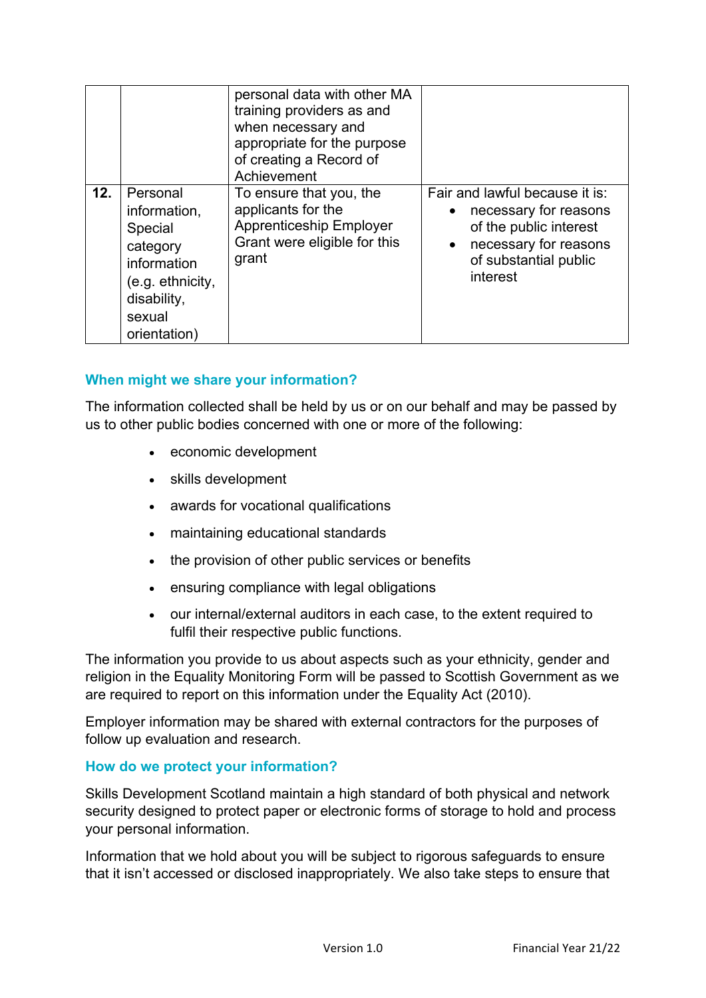|     |                                                                                                                             | personal data with other MA<br>training providers as and<br>when necessary and<br>appropriate for the purpose<br>of creating a Record of<br>Achievement |                                                                                                                                                                           |
|-----|-----------------------------------------------------------------------------------------------------------------------------|---------------------------------------------------------------------------------------------------------------------------------------------------------|---------------------------------------------------------------------------------------------------------------------------------------------------------------------------|
| 12. | Personal<br>information,<br>Special<br>category<br>information<br>(e.g. ethnicity,<br>disability,<br>sexual<br>orientation) | To ensure that you, the<br>applicants for the<br><b>Apprenticeship Employer</b><br>Grant were eligible for this<br>grant                                | Fair and lawful because it is:<br>necessary for reasons<br>$\bullet$<br>of the public interest<br>necessary for reasons<br>$\bullet$<br>of substantial public<br>interest |

## **When might we share your information?**

The information collected shall be held by us or on our behalf and may be passed by us to other public bodies concerned with one or more of the following:

- economic development
- skills development
- awards for vocational qualifications
- maintaining educational standards
- the provision of other public services or benefits
- ensuring compliance with legal obligations
- our internal/external auditors in each case, to the extent required to fulfil their respective public functions.

The information you provide to us about aspects such as your ethnicity, gender and religion in the Equality Monitoring Form will be passed to Scottish Government as we are required to report on this information under the Equality Act (2010).

Employer information may be shared with external contractors for the purposes of follow up evaluation and research.

### **How do we protect your information?**

Skills Development Scotland maintain a high standard of both physical and network security designed to protect paper or electronic forms of storage to hold and process your personal information.

Information that we hold about you will be subject to rigorous safeguards to ensure that it isn't accessed or disclosed inappropriately. We also take steps to ensure that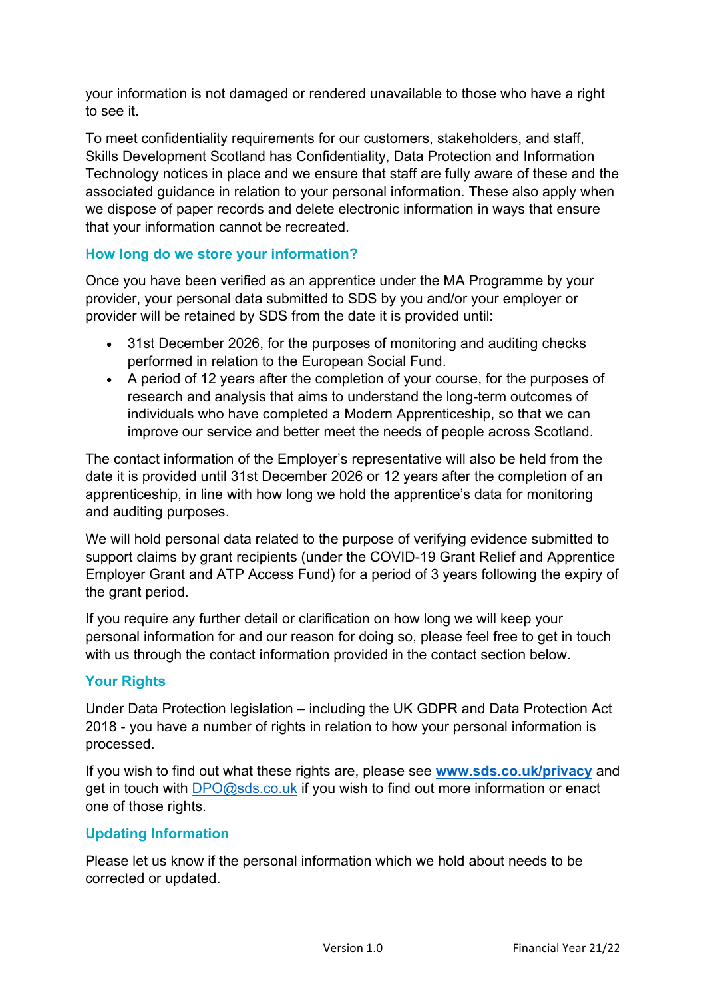your information is not damaged or rendered unavailable to those who have a right to see it.

To meet confidentiality requirements for our customers, stakeholders, and staff, Skills Development Scotland has Confidentiality, Data Protection and Information Technology notices in place and we ensure that staff are fully aware of these and the associated guidance in relation to your personal information. These also apply when we dispose of paper records and delete electronic information in ways that ensure that your information cannot be recreated.

# **How long do we store your information?**

Once you have been verified as an apprentice under the MA Programme by your provider, your personal data submitted to SDS by you and/or your employer or provider will be retained by SDS from the date it is provided until:

- 31st December 2026, for the purposes of monitoring and auditing checks performed in relation to the European Social Fund.
- A period of 12 years after the completion of your course, for the purposes of research and analysis that aims to understand the long-term outcomes of individuals who have completed a Modern Apprenticeship, so that we can improve our service and better meet the needs of people across Scotland.

The contact information of the Employer's representative will also be held from the date it is provided until 31st December 2026 or 12 years after the completion of an apprenticeship, in line with how long we hold the apprentice's data for monitoring and auditing purposes.

We will hold personal data related to the purpose of verifying evidence submitted to support claims by grant recipients (under the COVID-19 Grant Relief and Apprentice Employer Grant and ATP Access Fund) for a period of 3 years following the expiry of the grant period.

If you require any further detail or clarification on how long we will keep your personal information for and our reason for doing so, please feel free to get in touch with us through the contact information provided in the contact section below.

## **Your Rights**

Under Data Protection legislation – including the UK GDPR and Data Protection Act 2018 - you have a number of rights in relation to how your personal information is processed.

If you wish to find out what these rights are, please see **[www.sds.co.uk/privacy](http://www.sds.co.uk/privacy)** and get in touch with [DPO@sds.co.uk](mailto:DPO@sds.co.uk) if you wish to find out more information or enact one of those rights.

## **Updating Information**

Please let us know if the personal information which we hold about needs to be corrected or updated.